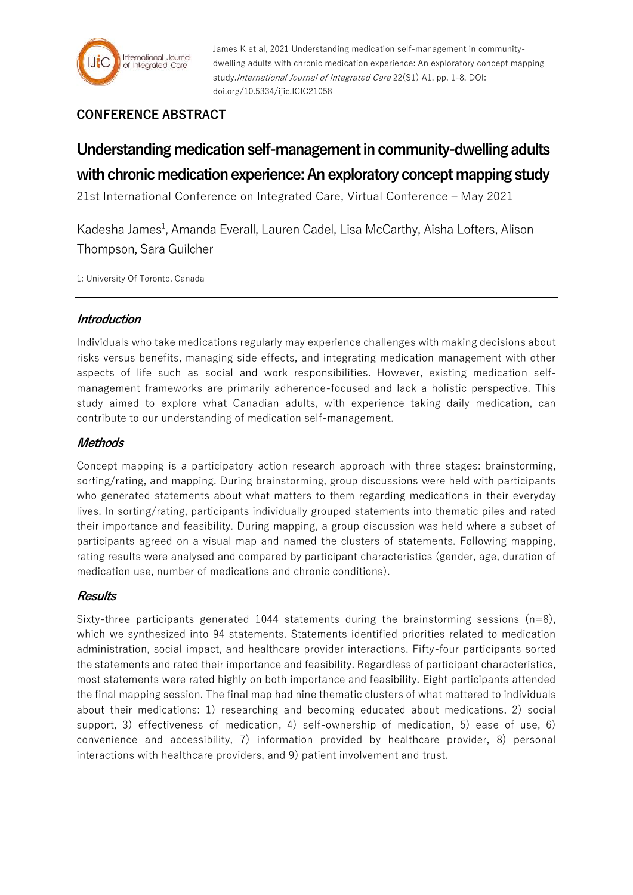# **CONFERENCE ABSTRACT**

# **Understanding medication self-management in community-dwelling adults with chronic medication experience: An exploratory concept mapping study**

21st International Conference on Integrated Care, Virtual Conference – May 2021

Kadesha James<sup>1</sup>, Amanda Everall, Lauren Cadel, Lisa McCarthy, Aisha Lofters, Alison Thompson, Sara Guilcher

1: University Of Toronto, Canada

## **Introduction**

Individuals who take medications regularly may experience challenges with making decisions about risks versus benefits, managing side effects, and integrating medication management with other aspects of life such as social and work responsibilities. However, existing medication selfmanagement frameworks are primarily adherence-focused and lack a holistic perspective. This study aimed to explore what Canadian adults, with experience taking daily medication, can contribute to our understanding of medication self-management.

### **Methods**

Concept mapping is a participatory action research approach with three stages: brainstorming, sorting/rating, and mapping. During brainstorming, group discussions were held with participants who generated statements about what matters to them regarding medications in their everyday lives. In sorting/rating, participants individually grouped statements into thematic piles and rated their importance and feasibility. During mapping, a group discussion was held where a subset of participants agreed on a visual map and named the clusters of statements. Following mapping, rating results were analysed and compared by participant characteristics (gender, age, duration of medication use, number of medications and chronic conditions).

# **Results**

Sixty-three participants generated 1044 statements during the brainstorming sessions  $(n=8)$ , which we synthesized into 94 statements. Statements identified priorities related to medication administration, social impact, and healthcare provider interactions. Fifty-four participants sorted the statements and rated their importance and feasibility. Regardless of participant characteristics, most statements were rated highly on both importance and feasibility. Eight participants attended the final mapping session. The final map had nine thematic clusters of what mattered to individuals about their medications: 1) researching and becoming educated about medications, 2) social support, 3) effectiveness of medication, 4) self-ownership of medication, 5) ease of use, 6) convenience and accessibility, 7) information provided by healthcare provider, 8) personal interactions with healthcare providers, and 9) patient involvement and trust.